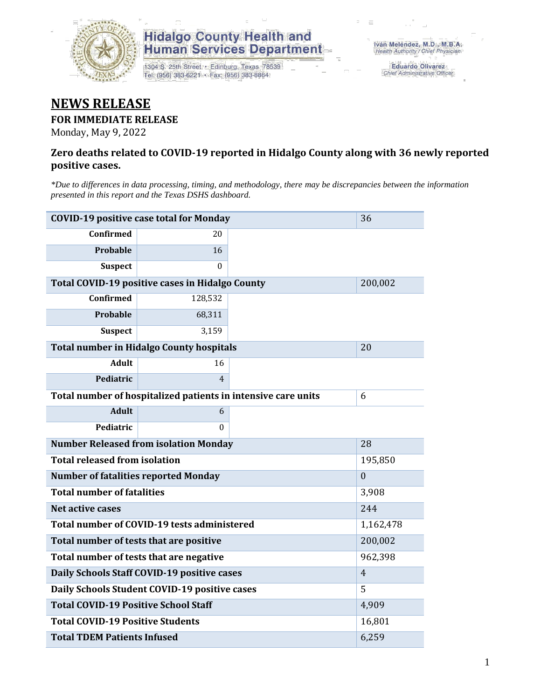

## **Hidalgo County Health and<br>Human Services Department**

1304 S. 25th Street · Edinburg, Texas 78539 Tel: (956) 383-6221 · Fax: (956) 383-8864

Eduardo Olivarez Chief Administrative Officer

## **NEWS RELEASE**

#### **FOR IMMEDIATE RELEASE**

Monday, May 9, 2022

#### **Zero deaths related to COVID-19 reported in Hidalgo County along with 36 newly reported positive cases.**

*\*Due to differences in data processing, timing, and methodology, there may be discrepancies between the information presented in this report and the Texas DSHS dashboard.*

| <b>COVID-19 positive case total for Monday</b><br>36   |                                                               |              |  |  |  |
|--------------------------------------------------------|---------------------------------------------------------------|--------------|--|--|--|
| <b>Confirmed</b>                                       | 20                                                            |              |  |  |  |
| Probable                                               | 16                                                            |              |  |  |  |
| <b>Suspect</b>                                         | 0                                                             |              |  |  |  |
| <b>Total COVID-19 positive cases in Hidalgo County</b> |                                                               | 200,002      |  |  |  |
| <b>Confirmed</b>                                       | 128,532                                                       |              |  |  |  |
| <b>Probable</b>                                        | 68,311                                                        |              |  |  |  |
| <b>Suspect</b>                                         | 3,159                                                         |              |  |  |  |
| <b>Total number in Hidalgo County hospitals</b>        |                                                               | 20           |  |  |  |
| <b>Adult</b>                                           | 16                                                            |              |  |  |  |
| Pediatric                                              | $\overline{4}$                                                |              |  |  |  |
|                                                        | Total number of hospitalized patients in intensive care units | 6            |  |  |  |
| <b>Adult</b>                                           | 6                                                             |              |  |  |  |
| Pediatric                                              | 0                                                             |              |  |  |  |
| <b>Number Released from isolation Monday</b>           |                                                               | 28           |  |  |  |
| <b>Total released from isolation</b>                   |                                                               | 195,850      |  |  |  |
| <b>Number of fatalities reported Monday</b>            |                                                               | $\mathbf{0}$ |  |  |  |
| <b>Total number of fatalities</b>                      |                                                               | 3,908        |  |  |  |
| Net active cases                                       | 244                                                           |              |  |  |  |
| Total number of COVID-19 tests administered            |                                                               | 1,162,478    |  |  |  |
| Total number of tests that are positive                |                                                               | 200,002      |  |  |  |
| Total number of tests that are negative                |                                                               | 962,398      |  |  |  |
| Daily Schools Staff COVID-19 positive cases            |                                                               | 4            |  |  |  |
| Daily Schools Student COVID-19 positive cases          |                                                               | 5            |  |  |  |
| <b>Total COVID-19 Positive School Staff</b>            | 4,909                                                         |              |  |  |  |
| <b>Total COVID-19 Positive Students</b>                |                                                               | 16,801       |  |  |  |
| <b>Total TDEM Patients Infused</b>                     | 6,259                                                         |              |  |  |  |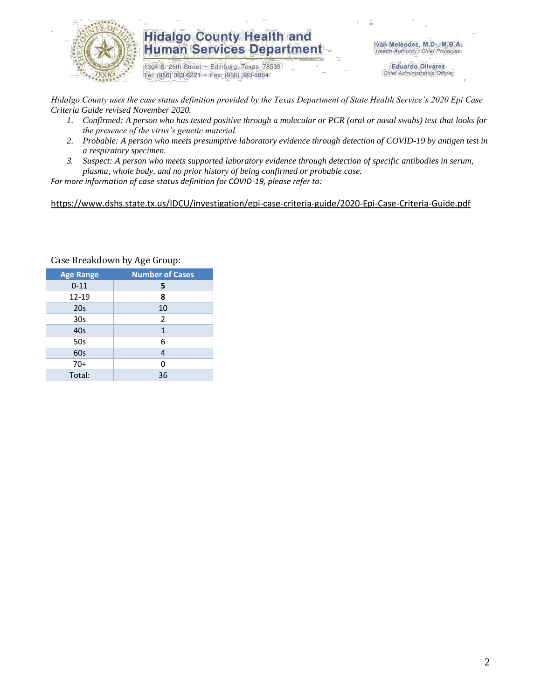

### **Hidalgo County Health and Human Services Department**

1304 S. 25th Street · Edinburg, Texas 78539 Tel: (956) 383-6221 · Fax: (956) 383-8864

Iván Meléndez, M.D., M.B.A. Health Authority / Chief Physician

> **Eduardo Olivarez** Chief Administrative Officer

*Hidalgo County uses the case status definition provided by the Texas Department of State Health Service's 2020 Epi Case Criteria Guide revised November 2020.*

- *1. Confirmed: A person who has tested positive through a molecular or PCR (oral or nasal swabs) test that looks for the presence of the virus's genetic material.*
- *2. Probable: A person who meets presumptive laboratory evidence through detection of COVID-19 by antigen test in a respiratory specimen.*
- *3. Suspect: A person who meets supported laboratory evidence through detection of specific antibodies in serum, plasma, whole body, and no prior history of being confirmed or probable case.*

*For more information of case status definition for COVID-19, please refer to:*

<https://www.dshs.state.tx.us/IDCU/investigation/epi-case-criteria-guide/2020-Epi-Case-Criteria-Guide.pdf>

| <b>Age Range</b> | <b>Number of Cases</b> |  |  |  |
|------------------|------------------------|--|--|--|
| $0 - 11$         | 5                      |  |  |  |
| $12 - 19$        | 8                      |  |  |  |
| 20 <sub>s</sub>  | 10                     |  |  |  |
| 30 <sub>s</sub>  | 2                      |  |  |  |
| 40s              | 1                      |  |  |  |
| 50s              | 6                      |  |  |  |
| 60s              | 4                      |  |  |  |
| $70+$            | 0                      |  |  |  |
| Total:           | 36                     |  |  |  |

Case Breakdown by Age Group: